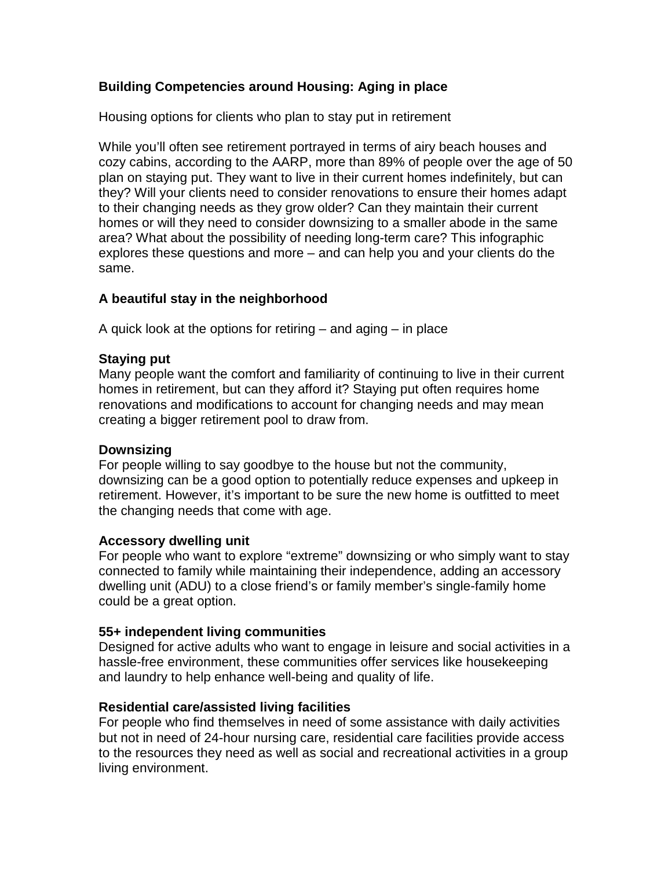# **Building Competencies around Housing: Aging in place**

Housing options for clients who plan to stay put in retirement

While you'll often see retirement portrayed in terms of airy beach houses and cozy cabins, according to the AARP, more than 89% of people over the age of 50 plan on staying put. They want to live in their current homes indefinitely, but can they? Will your clients need to consider renovations to ensure their homes adapt to their changing needs as they grow older? Can they maintain their current homes or will they need to consider downsizing to a smaller abode in the same area? What about the possibility of needing long-term care? This infographic explores these questions and more – and can help you and your clients do the same.

# **A beautiful stay in the neighborhood**

A quick look at the options for retiring – and aging – in place

# **Staying put**

Many people want the comfort and familiarity of continuing to live in their current homes in retirement, but can they afford it? Staying put often requires home renovations and modifications to account for changing needs and may mean creating a bigger retirement pool to draw from.

# **Downsizing**

For people willing to say goodbye to the house but not the community, downsizing can be a good option to potentially reduce expenses and upkeep in retirement. However, it's important to be sure the new home is outfitted to meet the changing needs that come with age.

# **Accessory dwelling unit**

For people who want to explore "extreme" downsizing or who simply want to stay connected to family while maintaining their independence, adding an accessory dwelling unit (ADU) to a close friend's or family member's single-family home could be a great option.

# **55+ independent living communities**

Designed for active adults who want to engage in leisure and social activities in a hassle-free environment, these communities offer services like housekeeping and laundry to help enhance well-being and quality of life.

# **Residential care/assisted living facilities**

For people who find themselves in need of some assistance with daily activities but not in need of 24-hour nursing care, residential care facilities provide access to the resources they need as well as social and recreational activities in a group living environment.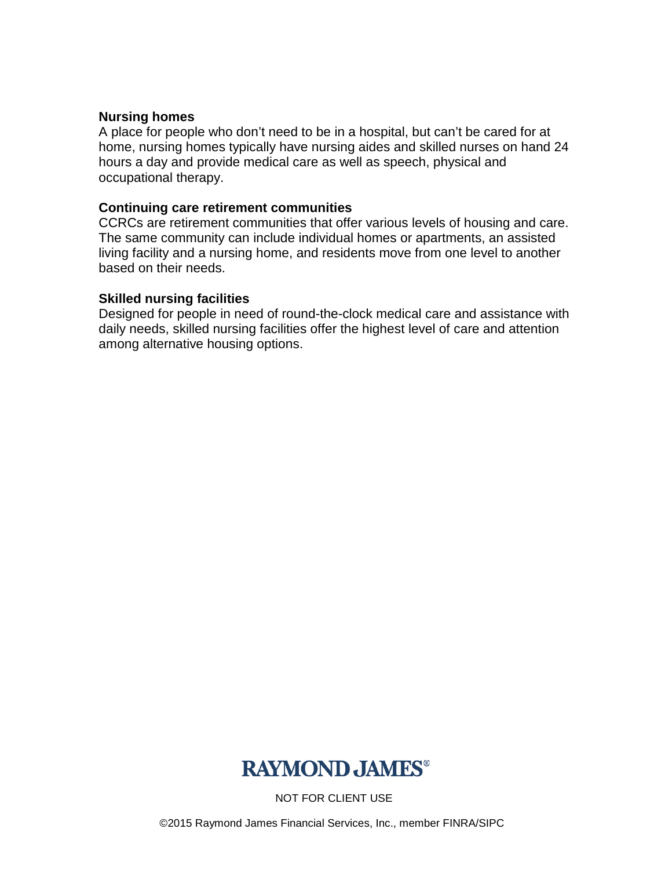# **Nursing homes**

A place for people who don't need to be in a hospital, but can't be cared for at home, nursing homes typically have nursing aides and skilled nurses on hand 24 hours a day and provide medical care as well as speech, physical and occupational therapy.

# **Continuing care retirement communities**

CCRCs are retirement communities that offer various levels of housing and care. The same community can include individual homes or apartments, an assisted living facility and a nursing home, and residents move from one level to another based on their needs.

# **Skilled nursing facilities**

Designed for people in need of round-the-clock medical care and assistance with daily needs, skilled nursing facilities offer the highest level of care and attention among alternative housing options.



NOT FOR CLIENT USE

©2015 Raymond James Financial Services, Inc., member FINRA/SIPC